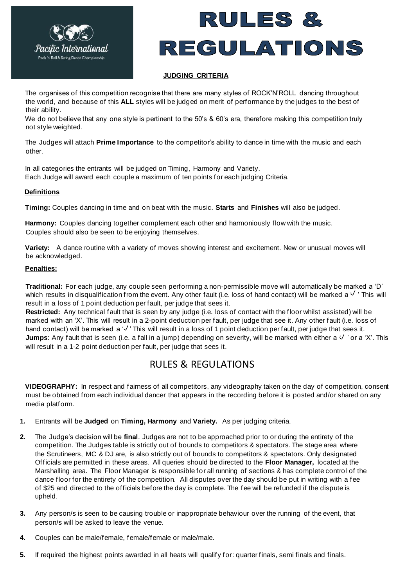



## **JUDGING CRITERIA**

The organises of this competition recognise that there are many styles of ROCK'N'ROLL dancing throughout the world, and because of this **ALL** styles will be judged on merit of performance by the judges to the best of their ability.

We do not believe that any one style is pertinent to the 50's & 60's era, therefore making this competition truly not style weighted.

The Judges will attach **Prime Importance** to the competitor's ability to dance in time with the music and each other.

In all categories the entrants will be judged on Timing, Harmony and Variety. Each Judge will award each couple a maximum of ten points for each judging Criteria.

## **Definitions**

**Timing:** Couples dancing in time and on beat with the music. **Starts** and **Finishes** will also be judged.

**Harmony:** Couples dancing together complement each other and harmoniously flow with the music. Couples should also be seen to be enjoying themselves.

**Variety:** A dance routine with a variety of moves showing interest and excitement. New or unusual moves will be acknowledged.

### **Penalties:**

**Traditional:** For each judge, any couple seen performing a non-permissible move will automatically be marked a 'D' which results in disqualification from the event. Any other fault (i.e. loss of hand contact) will be marked a  $\vee$  ' This will result in a loss of 1 point deduction per fault, per judge that sees it.

**Restricted:** Any technical fault that is seen by any judge (i.e. loss of contact with the floor whilst assisted) will be marked with an 'X'. This will result in a 2-point deduction per fault, per judge that see it. Any other fault (i.e. loss of hand contact) will be marked a  $\sqrt{'}$  This will result in a loss of 1 point deduction per fault, per judge that sees it. Jumps: Any fault that is seen (i.e. a fall in a jump) depending on severity, will be marked with either a  $\vee$  'or a 'X'. This will result in a 1-2 point deduction per fault, per judge that sees it.

# RULES & REGULATIONS

**VIDEOGRAPHY:** In respect and fairness of all competitors, any videography taken on the day of competition, consent must be obtained from each individual dancer that appears in the recording before it is posted and/or shared on any media platform.

- **1.** Entrants will be **Judged** on **Timing, Harmony** and **Variety.** As per judging criteria.
- **2.** The Judge's decision will be **final**. Judges are not to be approached prior to or during the entirety of the competition. The Judges table is strictly out of bounds to competitors & spectators. The stage area where the Scrutineers, MC & DJ are, is also strictly out of bounds to competitors & spectators. Only designated Officials are permitted in these areas. All queries should be directed to the **Floor Manager,** located at the Marshalling area. The Floor Manager is responsible for all running of sections & has complete control of the dance floor for the entirety of the competition. All disputes over the day should be put in writing with a fee of \$25 and directed to the officials before the day is complete. The fee will be refunded if the dispute is upheld.
- **3.** Any person/s is seen to be causing trouble or inappropriate behaviour over the running of the event, that person/s will be asked to leave the venue.
- **4.** Couples can be male/female, female/female or male/male.
- **5.** If required the highest points awarded in all heats will qualify for: quarter finals, semi finals and finals.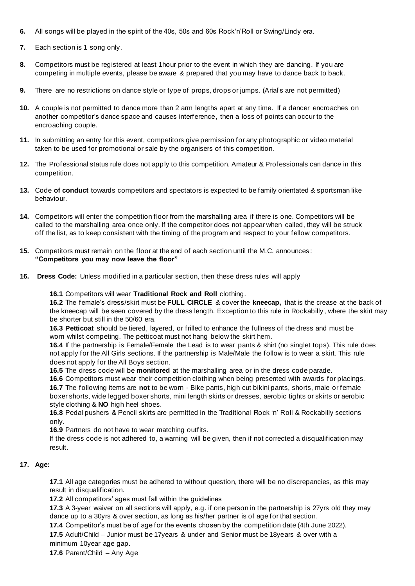- **6.** All songs will be played in the spirit of the 40s, 50s and 60s Rock'n'Roll or Swing/Lindy era.
- **7.** Each section is 1 song only.
- **8.** Competitors must be registered at least 1hour prior to the event in which they are dancing. If you are competing in multiple events, please be aware & prepared that you may have to dance back to back.
- **9.** There are no restrictions on dance style or type of props, drops or jumps. (Arial's are not permitted)
- **10.** A couple is not permitted to dance more than 2 arm lengths apart at any time. If a dancer encroaches on another competitor's dance space and causes interference, then a loss of points can occur to the encroaching couple.
- **11.** In submitting an entry for this event, competitors give permission for any photographic or video material taken to be used for promotional or sale by the organisers of this competition.
- **12.** The Professional status rule does not apply to this competition. Amateur & Professionals can dance in this competition.
- **13.** Code **of conduct** towards competitors and spectators is expected to be family orientated & sportsman like behaviour.
- **14.** Competitors will enter the competition floor from the marshalling area if there is one. Competitors will be called to the marshalling area once only. If the competitor does not appear when called, they will be struck off the list, as to keep consistent with the timing of the program and respect to your fellow competitors.
- **15.** Competitors must remain on the floor at the end of each section until the M.C. announces : **"Competitors you may now leave the floor"**
- **16. Dress Code:** Unless modified in a particular section, then these dress rules will apply

## **16.1** Competitors will wear **Traditional Rock and Roll** clothing.

**16.2** The female's dress/skirt must be **FULL CIRCLE** & cover the **kneecap,** that is the crease at the back of the kneecap will be seen covered by the dress length. Exception to this rule in Rockabilly , where the skirt may be shorter but still in the 50/60 era.

**16.3 Petticoat** should be tiered, layered, or frilled to enhance the fullness of the dress and must be worn whilst competing. The petticoat must not hang below the skirt hem.

**16.4** If the partnership is Female/Female the Lead is to wear pants & shirt (no singlet tops). This rule does not apply for the All Girls sections. If the partnership is Male/Male the follow is to wear a skirt. This rule does not apply for the All Boys section.

**16.5** The dress code will be **monitored** at the marshalling area or in the dress code parade.

**16.6** Competitors must wear their competition clothing when being presented with awards for placings . **16.7** The following items are **not** to be worn - Bike pants, high cut bikini pants, shorts, male or female boxer shorts, wide legged boxer shorts, mini length skirts or dresses, aerobic tights or skirts or aerobic style clothing & **NO** high heel shoes.

**16.8** Pedal pushers & Pencil skirts are permitted in the Traditional Rock 'n' Roll & Rockabilly sections only.

**16.9** Partners do not have to wear matching outfits.

If the dress code is not adhered to, a warning will be given, then if not corrected a disqualification may result.

## **17. Age:**

**17.1** All age categories must be adhered to without question, there will be no discrepancies, as this may result in disqualification.

**17.2** All competitors' ages must fall within the guidelines

**17.3** A 3-year waiver on all sections will apply, e.g. if one person in the partnership is 27yrs old they may dance up to a 30yrs & over section, as long as his/her partner is of age for that section.

**17.4** Competitor's must be of age for the events chosen by the competition date (4th June 2022).

**17.5** Adult/Child – Junior must be 17years & under and Senior must be 18years & over with a minimum 10year age gap.

**17.6** Parent/Child – Any Age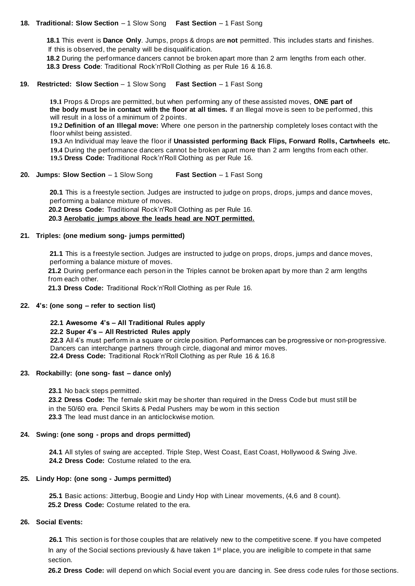### **18. Traditional: Slow Section** – 1 Slow Song **Fast Section** – 1 Fast Song

 **18.1** This event is **Dance Only**. Jumps, props & drops are **not** permitted. This includes starts and finishes. If this is observed, the penalty will be disqualification.

**18.2** During the performance dancers cannot be broken apart more than 2 arm lengths from each other.

 **18.3 Dress Code**: Traditional Rock'n'Roll Clothing as per Rule 16 & 16.8.

## **19. Restricted: Slow Section** – 1 Slow Song **Fast Section** – 1 Fast Song

 **19.1** Props & Drops are permitted, but when performing any of these assisted moves, **ONE part of the body must be in contact with the floor at all times.** If an Illegal move is seen to be performed, this will result in a loss of a minimum of 2 points.

 **19.2 Definition of an Illegal move:** Where one person in the partnership completely loses contact with the floor whilst being assisted.

**19.3** An Individual may leave the floor if **Unassisted performing Back Flips, Forward Rolls, Cartwheels etc.**

 **19.4** During the performance dancers cannot be broken apart more than 2 arm lengths from each other. **19.5 Dress Code:** Traditional Rock'n'Roll Clothing as per Rule 16.

## **20. Jumps: Slow Section** – 1 Slow Song **Fast Section** – 1 Fast Song

**20.1** This is a freestyle section. Judges are instructed to judge on props, drops, jumps and dance moves, performing a balance mixture of moves.

**20.2 Dress Code:** Traditional Rock'n'Roll Clothing as per Rule 16.

**20.3 Aerobatic jumps above the leads head are NOT permitted.**

## **21. Triples: (one medium song- jumps permitted)**

**21.1** This is a freestyle section. Judges are instructed to judge on props, drops, jumps and dance moves, performing a balance mixture of moves.

**21.2** During performance each person in the Triples cannot be broken apart by more than 2 arm lengths from each other.

**21.3 Dress Code:** Traditional Rock'n'Roll Clothing as per Rule 16.

#### **22. 4's: (one song – refer to section list)**

#### **22.1 Awesome 4's – All Traditional Rules apply**

#### **22.2 Super 4's – All Restricted Rules apply**

**22.3** All 4's must perform in a square or circle position. Performances can be progressive or non-progressive. Dancers can interchange partners through circle, diagonal and mirror moves. **22.4 Dress Code:** Traditional Rock'n'Roll Clothing as per Rule 16 & 16.8

## **23. Rockabilly: (one song- fast – dance only)**

 **23.1** No back steps permitted.

 **23.2 Dress Code:** The female skirt may be shorter than required in the Dress Code but must still be in the 50/60 era. Pencil Skirts & Pedal Pushers may be worn in this section **23.3** The lead must dance in an anticlockwise motion.

#### **24. Swing: (one song - props and drops permitted)**

**24.1** All styles of swing are accepted. Triple Step, West Coast, East Coast, Hollywood & Swing Jive. **24.2 Dress Code:** Costume related to the era.

## **25. Lindy Hop: (one song - Jumps permitted)**

**25.1** Basic actions: Jitterbug, Boogie and Lindy Hop with Linear movements, (4,6 and 8 count). **25.2 Dress Code:** Costume related to the era.

## **26. Social Events:**

**26.1** This section is for those couples that are relatively new to the competitive scene. If you have competed In any of the Social sections previously & have taken  $1<sup>st</sup>$  place, you are ineligible to compete in that same section.

**26.2 Dress Code:** will depend on which Social event you are dancing in. See dress code rules for those sections.